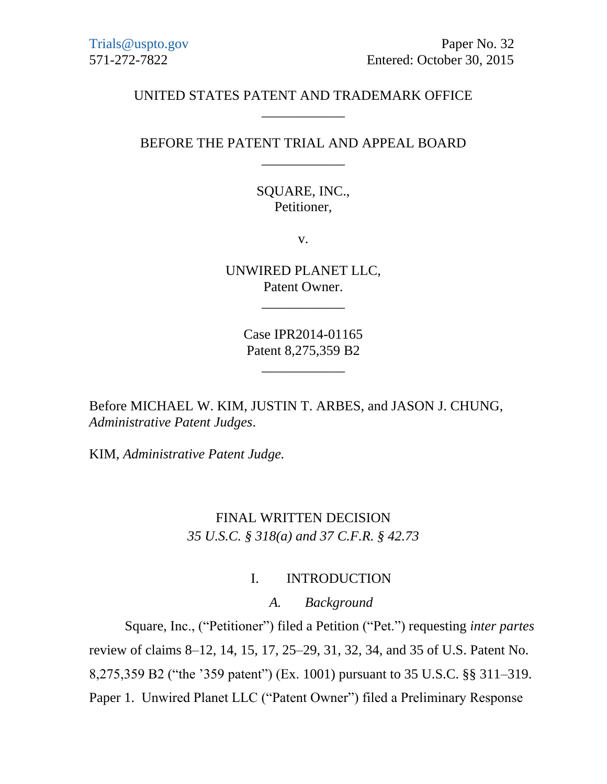### UNITED STATES PATENT AND TRADEMARK OFFICE \_\_\_\_\_\_\_\_\_\_\_\_

# BEFORE THE PATENT TRIAL AND APPEAL BOARD \_\_\_\_\_\_\_\_\_\_\_\_

SQUARE, INC., Petitioner,

v.

UNWIRED PLANET LLC, Patent Owner.

\_\_\_\_\_\_\_\_\_\_\_\_

Case IPR2014-01165 Patent 8,275,359 B2

\_\_\_\_\_\_\_\_\_\_\_\_

Before MICHAEL W. KIM, JUSTIN T. ARBES, and JASON J. CHUNG, *Administrative Patent Judges*.

KIM, *Administrative Patent Judge.*

# FINAL WRITTEN DECISION *35 U.S.C. § 318(a) and 37 C.F.R. § 42.73*

#### I. INTRODUCTION

#### *A. Background*

Square, Inc., ("Petitioner") filed a Petition ("Pet.") requesting *inter partes*  review of claims 8–12, 14, 15, 17, 25–29, 31, 32, 34, and 35 of U.S. Patent No. 8,275,359 B2 ("the '359 patent") (Ex. 1001) pursuant to 35 U.S.C. §§ 311–319. Paper 1. Unwired Planet LLC ("Patent Owner") filed a Preliminary Response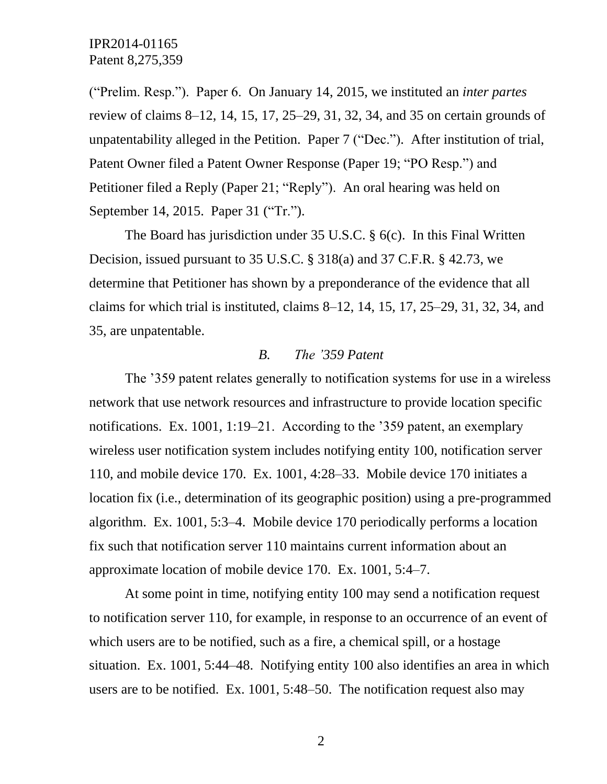("Prelim. Resp."). Paper 6. On January 14, 2015, we instituted an *inter partes* review of claims 8–12, 14, 15, 17, 25–29, 31, 32, 34, and 35 on certain grounds of unpatentability alleged in the Petition. Paper 7 ("Dec."). After institution of trial, Patent Owner filed a Patent Owner Response (Paper 19; "PO Resp.") and Petitioner filed a Reply (Paper 21; "Reply"). An oral hearing was held on September 14, 2015. Paper 31 ("Tr.").

The Board has jurisdiction under 35 U.S.C. § 6(c). In this Final Written Decision, issued pursuant to 35 U.S.C. § 318(a) and 37 C.F.R. § 42.73, we determine that Petitioner has shown by a preponderance of the evidence that all claims for which trial is instituted, claims 8–12, 14, 15, 17, 25–29, 31, 32, 34, and 35, are unpatentable.

### *B. The '359 Patent*

The '359 patent relates generally to notification systems for use in a wireless network that use network resources and infrastructure to provide location specific notifications. Ex. 1001, 1:19–21. According to the '359 patent, an exemplary wireless user notification system includes notifying entity 100, notification server 110, and mobile device 170. Ex. 1001, 4:28–33. Mobile device 170 initiates a location fix (i.e., determination of its geographic position) using a pre-programmed algorithm. Ex. 1001, 5:3–4. Mobile device 170 periodically performs a location fix such that notification server 110 maintains current information about an approximate location of mobile device 170. Ex. 1001, 5:4–7.

At some point in time, notifying entity 100 may send a notification request to notification server 110, for example, in response to an occurrence of an event of which users are to be notified, such as a fire, a chemical spill, or a hostage situation. Ex. 1001, 5:44–48. Notifying entity 100 also identifies an area in which users are to be notified. Ex. 1001, 5:48–50. The notification request also may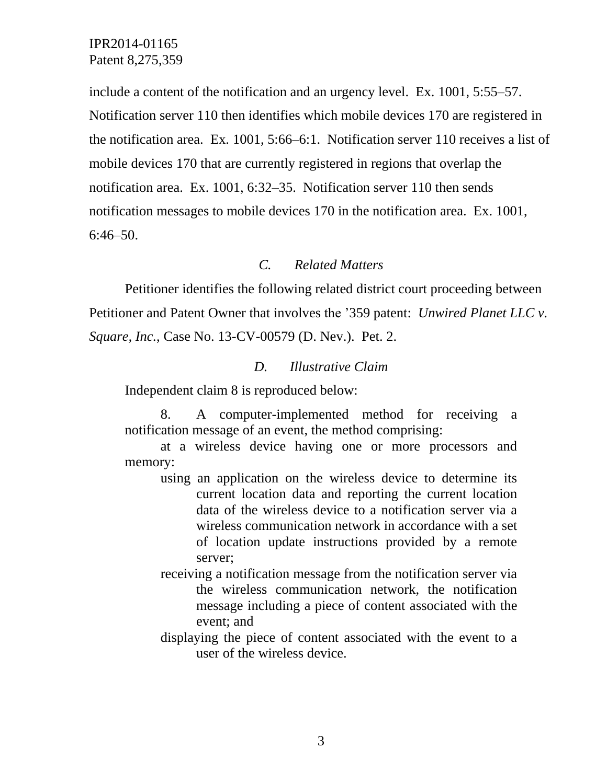include a content of the notification and an urgency level. Ex. 1001, 5:55–57. Notification server 110 then identifies which mobile devices 170 are registered in the notification area. Ex. 1001, 5:66–6:1. Notification server 110 receives a list of mobile devices 170 that are currently registered in regions that overlap the notification area. Ex. 1001, 6:32–35. Notification server 110 then sends notification messages to mobile devices 170 in the notification area. Ex. 1001, 6:46–50.

### *C. Related Matters*

Petitioner identifies the following related district court proceeding between Petitioner and Patent Owner that involves the '359 patent: *Unwired Planet LLC v. Square, Inc.*, Case No. 13-CV-00579 (D. Nev.). Pet. 2.

#### *D. Illustrative Claim*

Independent claim 8 is reproduced below:

8. A computer-implemented method for receiving a notification message of an event, the method comprising:

at a wireless device having one or more processors and memory:

- using an application on the wireless device to determine its current location data and reporting the current location data of the wireless device to a notification server via a wireless communication network in accordance with a set of location update instructions provided by a remote server;
- receiving a notification message from the notification server via the wireless communication network, the notification message including a piece of content associated with the event; and
- displaying the piece of content associated with the event to a user of the wireless device.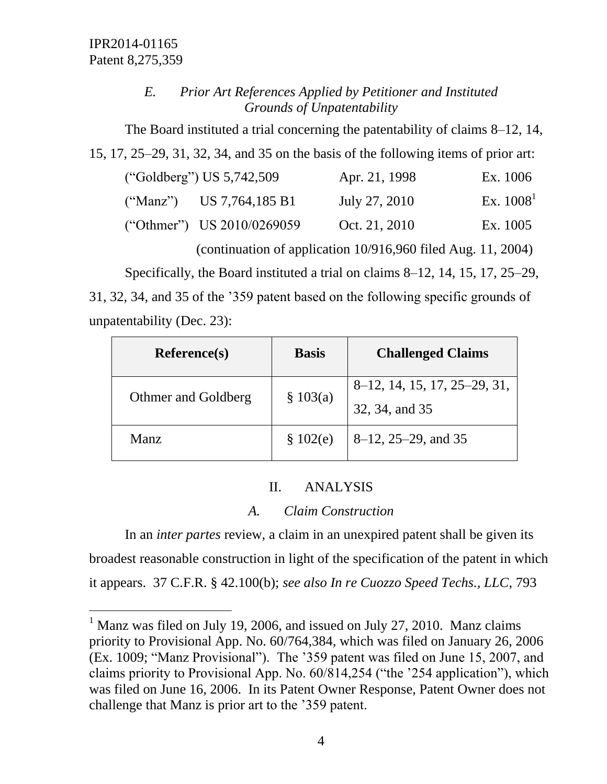$\overline{a}$ 

# *E. Prior Art References Applied by Petitioner and Instituted Grounds of Unpatentability*

The Board instituted a trial concerning the patentability of claims 8–12, 14, 15, 17, 25–29, 31, 32, 34, and 35 on the basis of the following items of prior art:

| ("Goldberg") US $5,742,509$ |                              | Apr. 21, 1998 | Ex. 1006    |
|-----------------------------|------------------------------|---------------|-------------|
|                             | ("Manz") US 7,764,185 B1     | July 27, 2010 | Ex. $10081$ |
|                             | ("Othmer") US $2010/0269059$ | Oct. 21, 2010 | Ex. 1005    |

(continuation of application 10/916,960 filed Aug. 11, 2004)

Specifically, the Board instituted a trial on claims 8–12, 14, 15, 17, 25–29,

31, 32, 34, and 35 of the '359 patent based on the following specific grounds of unpatentability (Dec. 23):

| <b>Reference(s)</b> | <b>Basis</b> | <b>Challenged Claims</b>                       |
|---------------------|--------------|------------------------------------------------|
| Othmer and Goldberg | \$103(a)     | 8–12, 14, 15, 17, 25–29, 31,<br>32, 34, and 35 |
| Manz                | \$102(e)     | $8-12$ , 25-29, and 35                         |

# II. ANALYSIS

# *A. Claim Construction*

In an *inter partes* review, a claim in an unexpired patent shall be given its broadest reasonable construction in light of the specification of the patent in which it appears. 37 C.F.R. § 42.100(b); *see also In re Cuozzo Speed Techs., LLC*, 793

 $1$  Manz was filed on July 19, 2006, and issued on July 27, 2010. Manz claims priority to Provisional App. No. 60/764,384, which was filed on January 26, 2006 (Ex. 1009; "Manz Provisional"). The '359 patent was filed on June 15, 2007, and claims priority to Provisional App. No. 60/814,254 ("the '254 application"), which was filed on June 16, 2006. In its Patent Owner Response, Patent Owner does not challenge that Manz is prior art to the '359 patent.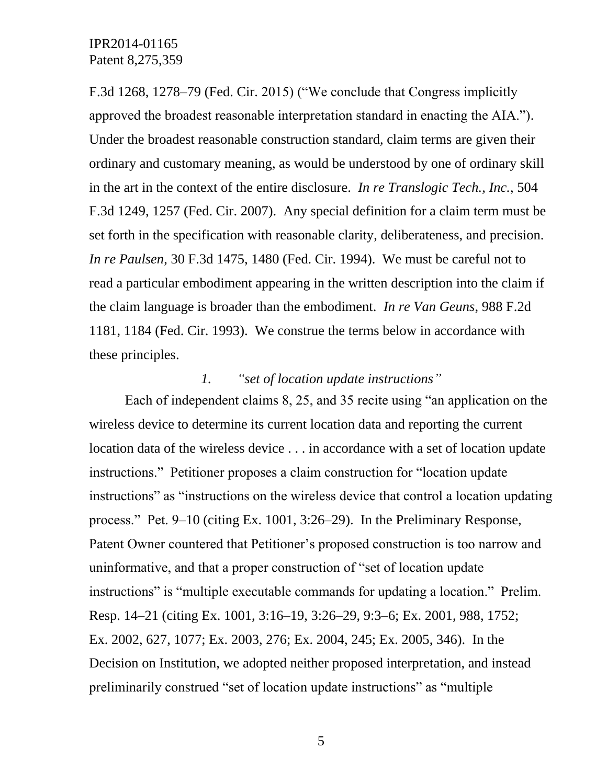F.3d 1268, 1278–79 (Fed. Cir. 2015) ("We conclude that Congress implicitly approved the broadest reasonable interpretation standard in enacting the AIA."). Under the broadest reasonable construction standard, claim terms are given their ordinary and customary meaning, as would be understood by one of ordinary skill in the art in the context of the entire disclosure. *In re Translogic Tech., Inc.*, 504 F.3d 1249, 1257 (Fed. Cir. 2007). Any special definition for a claim term must be set forth in the specification with reasonable clarity, deliberateness, and precision. *In re Paulsen*, 30 F.3d 1475, 1480 (Fed. Cir. 1994). We must be careful not to read a particular embodiment appearing in the written description into the claim if the claim language is broader than the embodiment. *In re Van Geuns*, 988 F.2d 1181, 1184 (Fed. Cir. 1993). We construe the terms below in accordance with these principles.

# *1. "set of location update instructions"*

Each of independent claims 8, 25, and 35 recite using "an application on the wireless device to determine its current location data and reporting the current location data of the wireless device . . . in accordance with a set of location update instructions." Petitioner proposes a claim construction for "location update instructions" as "instructions on the wireless device that control a location updating process." Pet. 9–10 (citing Ex. 1001, 3:26–29). In the Preliminary Response, Patent Owner countered that Petitioner's proposed construction is too narrow and uninformative, and that a proper construction of "set of location update instructions" is "multiple executable commands for updating a location." Prelim. Resp. 14–21 (citing Ex. 1001, 3:16–19, 3:26–29, 9:3–6; Ex. 2001, 988, 1752; Ex. 2002, 627, 1077; Ex. 2003, 276; Ex. 2004, 245; Ex. 2005, 346). In the Decision on Institution, we adopted neither proposed interpretation, and instead preliminarily construed "set of location update instructions" as "multiple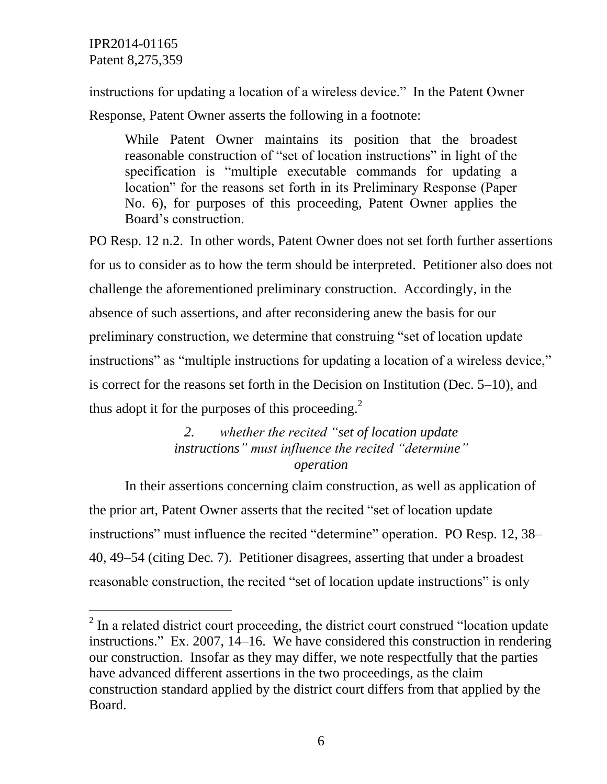$\overline{a}$ 

instructions for updating a location of a wireless device." In the Patent Owner

Response, Patent Owner asserts the following in a footnote:

While Patent Owner maintains its position that the broadest reasonable construction of "set of location instructions" in light of the specification is "multiple executable commands for updating a location" for the reasons set forth in its Preliminary Response (Paper No. 6), for purposes of this proceeding, Patent Owner applies the Board's construction.

PO Resp. 12 n.2. In other words, Patent Owner does not set forth further assertions for us to consider as to how the term should be interpreted. Petitioner also does not challenge the aforementioned preliminary construction. Accordingly, in the absence of such assertions, and after reconsidering anew the basis for our preliminary construction, we determine that construing "set of location update instructions" as "multiple instructions for updating a location of a wireless device," is correct for the reasons set forth in the Decision on Institution (Dec. 5–10), and thus adopt it for the purposes of this proceeding. $^{2}$ 

# *2. whether the recited "set of location update instructions" must influence the recited "determine" operation*

In their assertions concerning claim construction, as well as application of the prior art, Patent Owner asserts that the recited "set of location update instructions" must influence the recited "determine" operation. PO Resp. 12, 38– 40, 49–54 (citing Dec. 7). Petitioner disagrees, asserting that under a broadest reasonable construction, the recited "set of location update instructions" is only

 $2$  In a related district court proceeding, the district court construed "location update" instructions." Ex. 2007, 14–16. We have considered this construction in rendering our construction. Insofar as they may differ, we note respectfully that the parties have advanced different assertions in the two proceedings, as the claim construction standard applied by the district court differs from that applied by the Board.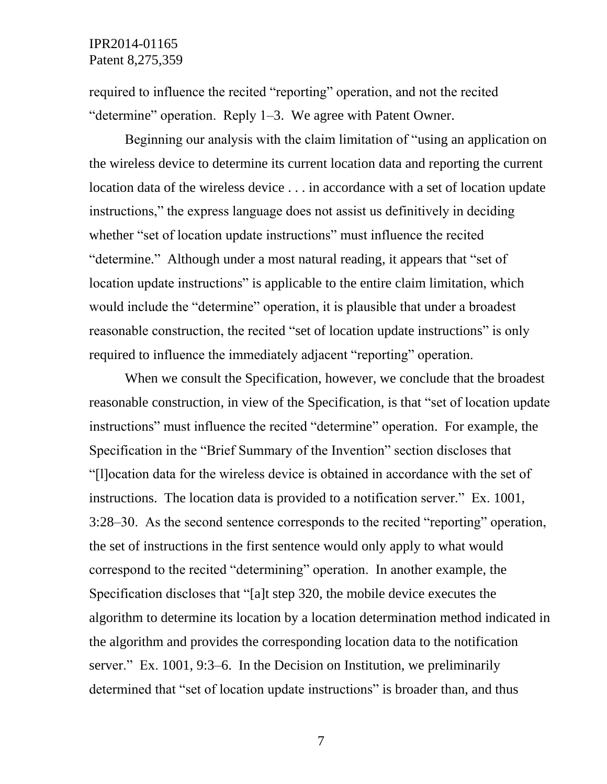required to influence the recited "reporting" operation, and not the recited "determine" operation. Reply 1–3. We agree with Patent Owner.

Beginning our analysis with the claim limitation of "using an application on the wireless device to determine its current location data and reporting the current location data of the wireless device . . . in accordance with a set of location update instructions," the express language does not assist us definitively in deciding whether "set of location update instructions" must influence the recited "determine." Although under a most natural reading, it appears that "set of location update instructions" is applicable to the entire claim limitation, which would include the "determine" operation, it is plausible that under a broadest reasonable construction, the recited "set of location update instructions" is only required to influence the immediately adjacent "reporting" operation.

When we consult the Specification, however, we conclude that the broadest reasonable construction, in view of the Specification, is that "set of location update instructions" must influence the recited "determine" operation. For example, the Specification in the "Brief Summary of the Invention" section discloses that "[l]ocation data for the wireless device is obtained in accordance with the set of instructions. The location data is provided to a notification server." Ex. 1001, 3:28–30. As the second sentence corresponds to the recited "reporting" operation, the set of instructions in the first sentence would only apply to what would correspond to the recited "determining" operation. In another example, the Specification discloses that "[a]t step 320, the mobile device executes the algorithm to determine its location by a location determination method indicated in the algorithm and provides the corresponding location data to the notification server." Ex. 1001, 9:3–6. In the Decision on Institution, we preliminarily determined that "set of location update instructions" is broader than, and thus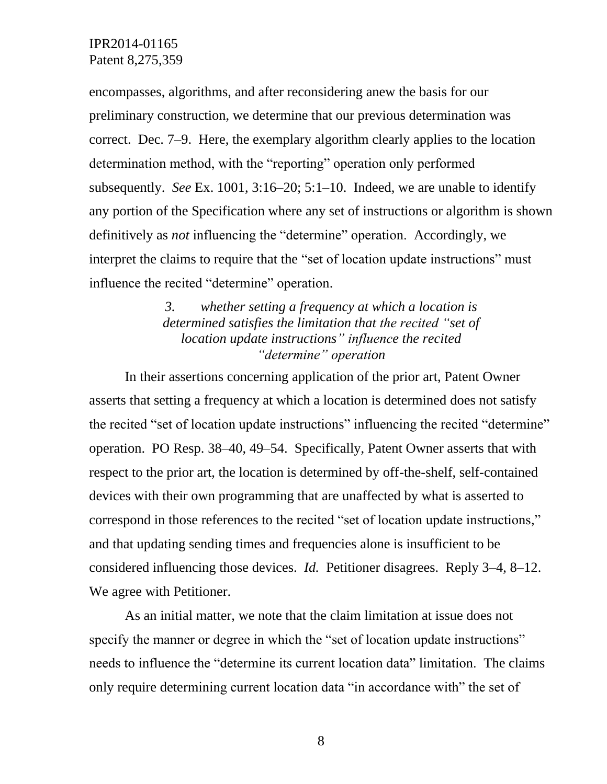encompasses, algorithms, and after reconsidering anew the basis for our preliminary construction, we determine that our previous determination was correct. Dec. 7–9. Here, the exemplary algorithm clearly applies to the location determination method, with the "reporting" operation only performed subsequently. *See* Ex. 1001, 3:16–20; 5:1–10. Indeed, we are unable to identify any portion of the Specification where any set of instructions or algorithm is shown definitively as *not* influencing the "determine" operation. Accordingly, we interpret the claims to require that the "set of location update instructions" must influence the recited "determine" operation.

# *3. whether setting a frequency at which a location is determined satisfies the limitation that the recited "set of location update instructions" influence the recited "determine" operation*

In their assertions concerning application of the prior art, Patent Owner asserts that setting a frequency at which a location is determined does not satisfy the recited "set of location update instructions" influencing the recited "determine" operation. PO Resp. 38–40, 49–54. Specifically, Patent Owner asserts that with respect to the prior art, the location is determined by off-the-shelf, self-contained devices with their own programming that are unaffected by what is asserted to correspond in those references to the recited "set of location update instructions," and that updating sending times and frequencies alone is insufficient to be considered influencing those devices. *Id.* Petitioner disagrees. Reply 3–4, 8–12. We agree with Petitioner.

As an initial matter, we note that the claim limitation at issue does not specify the manner or degree in which the "set of location update instructions" needs to influence the "determine its current location data" limitation. The claims only require determining current location data "in accordance with" the set of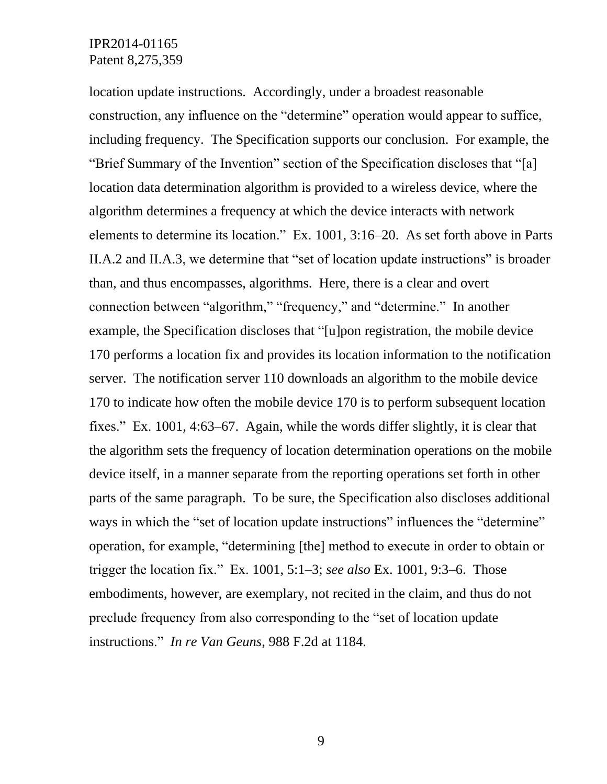location update instructions. Accordingly, under a broadest reasonable construction, any influence on the "determine" operation would appear to suffice, including frequency. The Specification supports our conclusion. For example, the "Brief Summary of the Invention" section of the Specification discloses that "[a] location data determination algorithm is provided to a wireless device, where the algorithm determines a frequency at which the device interacts with network elements to determine its location." Ex. 1001, 3:16–20. As set forth above in Parts II.A.2 and II.A.3, we determine that "set of location update instructions" is broader than, and thus encompasses, algorithms. Here, there is a clear and overt connection between "algorithm," "frequency," and "determine." In another example, the Specification discloses that "[u]pon registration, the mobile device 170 performs a location fix and provides its location information to the notification server. The notification server 110 downloads an algorithm to the mobile device 170 to indicate how often the mobile device 170 is to perform subsequent location fixes." Ex. 1001, 4:63–67. Again, while the words differ slightly, it is clear that the algorithm sets the frequency of location determination operations on the mobile device itself, in a manner separate from the reporting operations set forth in other parts of the same paragraph. To be sure, the Specification also discloses additional ways in which the "set of location update instructions" influences the "determine" operation, for example, "determining [the] method to execute in order to obtain or trigger the location fix." Ex. 1001, 5:1–3; *see also* Ex. 1001, 9:3–6. Those embodiments, however, are exemplary, not recited in the claim, and thus do not preclude frequency from also corresponding to the "set of location update instructions." *In re Van Geuns*, 988 F.2d at 1184.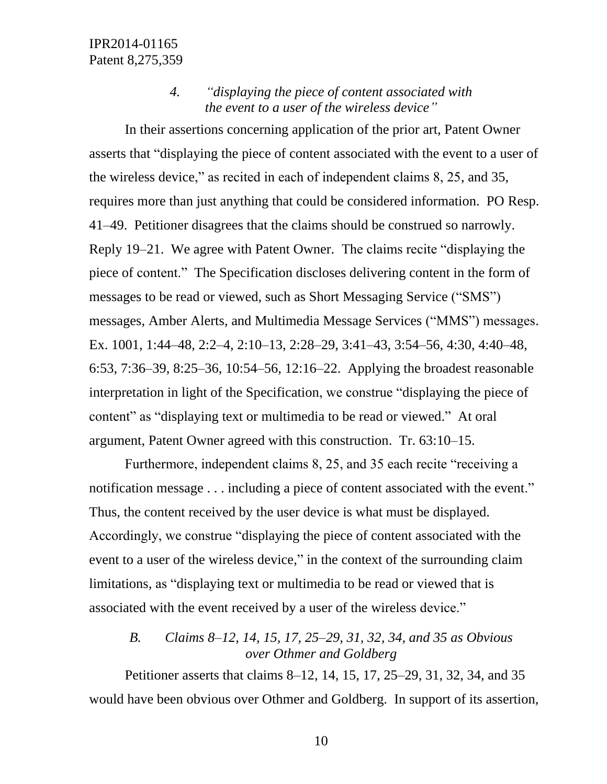## *4. "displaying the piece of content associated with the event to a user of the wireless device"*

In their assertions concerning application of the prior art, Patent Owner asserts that "displaying the piece of content associated with the event to a user of the wireless device," as recited in each of independent claims 8, 25, and 35, requires more than just anything that could be considered information. PO Resp. 41–49. Petitioner disagrees that the claims should be construed so narrowly. Reply 19–21. We agree with Patent Owner. The claims recite "displaying the piece of content." The Specification discloses delivering content in the form of messages to be read or viewed, such as Short Messaging Service ("SMS") messages, Amber Alerts, and Multimedia Message Services ("MMS") messages. Ex. 1001, 1:44–48, 2:2–4, 2:10–13, 2:28–29, 3:41–43, 3:54–56, 4:30, 4:40–48, 6:53, 7:36–39, 8:25–36, 10:54–56, 12:16–22. Applying the broadest reasonable interpretation in light of the Specification, we construe "displaying the piece of content" as "displaying text or multimedia to be read or viewed." At oral argument, Patent Owner agreed with this construction. Tr. 63:10–15.

Furthermore, independent claims 8, 25, and 35 each recite "receiving a notification message . . . including a piece of content associated with the event." Thus, the content received by the user device is what must be displayed. Accordingly, we construe "displaying the piece of content associated with the event to a user of the wireless device," in the context of the surrounding claim limitations, as "displaying text or multimedia to be read or viewed that is associated with the event received by a user of the wireless device."

# *B. Claims 8*–*12, 14, 15, 17, 25–29, 31, 32, 34, and 35 as Obvious over Othmer and Goldberg*

Petitioner asserts that claims 8–12, 14, 15, 17, 25–29, 31, 32, 34, and 35 would have been obvious over Othmer and Goldberg. In support of its assertion,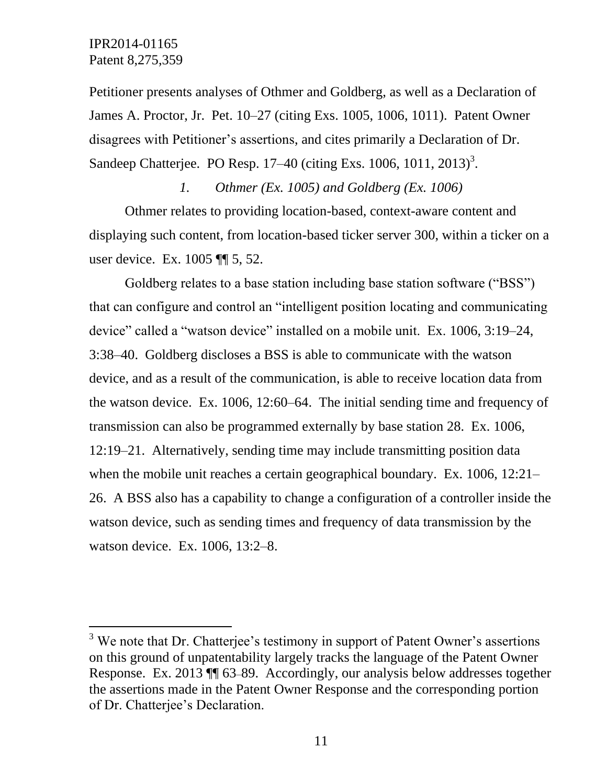l

Petitioner presents analyses of Othmer and Goldberg, as well as a Declaration of James A. Proctor, Jr. Pet. 10–27 (citing Exs. 1005, 1006, 1011). Patent Owner disagrees with Petitioner's assertions, and cites primarily a Declaration of Dr. Sandeep Chatterjee. PO Resp.  $17-40$  (citing Exs.  $1006$ ,  $1011$ ,  $2013$ )<sup>3</sup>.

*1. Othmer (Ex. 1005) and Goldberg (Ex. 1006)* Othmer relates to providing location-based, context-aware content and displaying such content, from location-based ticker server 300, within a ticker on a user device. Ex. 1005 ¶¶ 5, 52.

Goldberg relates to a base station including base station software ("BSS") that can configure and control an "intelligent position locating and communicating device" called a "watson device" installed on a mobile unit. Ex. 1006, 3:19–24, 3:38–40. Goldberg discloses a BSS is able to communicate with the watson device, and as a result of the communication, is able to receive location data from the watson device. Ex. 1006, 12:60–64. The initial sending time and frequency of transmission can also be programmed externally by base station 28. Ex. 1006, 12:19–21. Alternatively, sending time may include transmitting position data when the mobile unit reaches a certain geographical boundary. Ex. 1006, 12:21– 26. A BSS also has a capability to change a configuration of a controller inside the watson device, such as sending times and frequency of data transmission by the watson device. Ex. 1006, 13:2–8.

 $3$  We note that Dr. Chatterjee's testimony in support of Patent Owner's assertions on this ground of unpatentability largely tracks the language of the Patent Owner Response. Ex. 2013 ¶¶ 63–89. Accordingly, our analysis below addresses together the assertions made in the Patent Owner Response and the corresponding portion of Dr. Chatterjee's Declaration.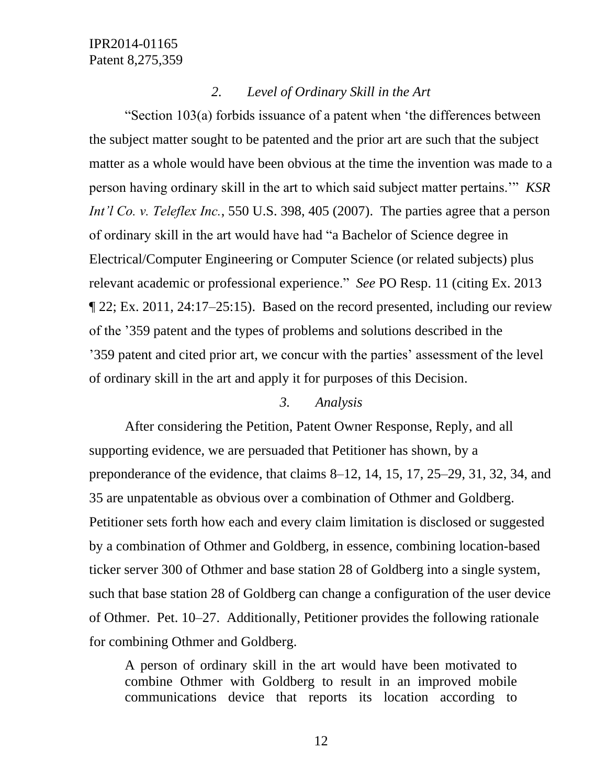#### *2. Level of Ordinary Skill in the Art*

"Section 103(a) forbids issuance of a patent when 'the differences between the subject matter sought to be patented and the prior art are such that the subject matter as a whole would have been obvious at the time the invention was made to a person having ordinary skill in the art to which said subject matter pertains.'" *KSR Int'l Co. v. Teleflex Inc.*, 550 U.S. 398, 405 (2007). The parties agree that a person of ordinary skill in the art would have had "a Bachelor of Science degree in Electrical/Computer Engineering or Computer Science (or related subjects) plus relevant academic or professional experience." *See* PO Resp. 11 (citing Ex. 2013 ¶ 22; Ex. 2011, 24:17–25:15). Based on the record presented, including our review of the '359 patent and the types of problems and solutions described in the '359 patent and cited prior art, we concur with the parties' assessment of the level of ordinary skill in the art and apply it for purposes of this Decision.

#### *3. Analysis*

After considering the Petition, Patent Owner Response, Reply, and all supporting evidence, we are persuaded that Petitioner has shown, by a preponderance of the evidence, that claims 8–12, 14, 15, 17, 25–29, 31, 32, 34, and 35 are unpatentable as obvious over a combination of Othmer and Goldberg. Petitioner sets forth how each and every claim limitation is disclosed or suggested by a combination of Othmer and Goldberg, in essence, combining location-based ticker server 300 of Othmer and base station 28 of Goldberg into a single system, such that base station 28 of Goldberg can change a configuration of the user device of Othmer. Pet. 10–27. Additionally, Petitioner provides the following rationale for combining Othmer and Goldberg.

A person of ordinary skill in the art would have been motivated to combine Othmer with Goldberg to result in an improved mobile communications device that reports its location according to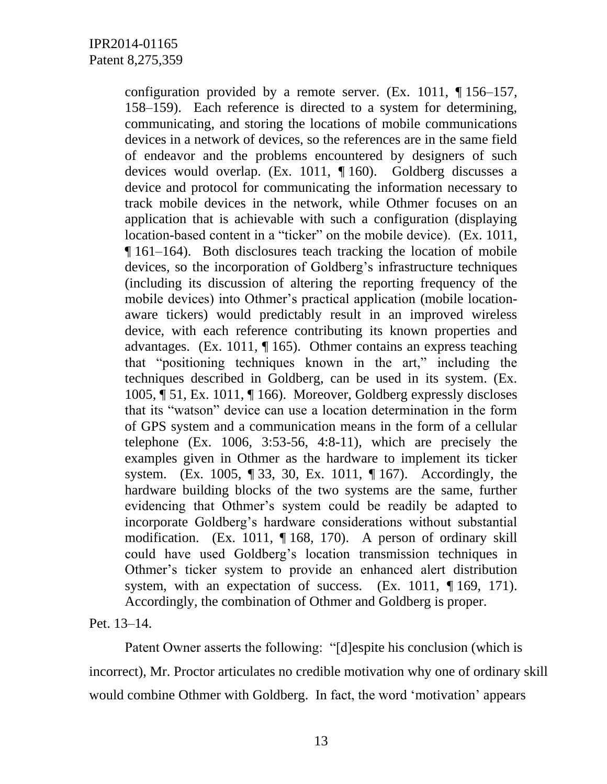configuration provided by a remote server. (Ex. 1011, ¶ 156–157, 158–159). Each reference is directed to a system for determining, communicating, and storing the locations of mobile communications devices in a network of devices, so the references are in the same field of endeavor and the problems encountered by designers of such devices would overlap. (Ex. 1011, ¶ 160). Goldberg discusses a device and protocol for communicating the information necessary to track mobile devices in the network, while Othmer focuses on an application that is achievable with such a configuration (displaying location-based content in a "ticker" on the mobile device). (Ex. 1011, ¶ 161–164). Both disclosures teach tracking the location of mobile devices, so the incorporation of Goldberg's infrastructure techniques (including its discussion of altering the reporting frequency of the mobile devices) into Othmer's practical application (mobile locationaware tickers) would predictably result in an improved wireless device, with each reference contributing its known properties and advantages. (Ex. 1011, ¶ 165). Othmer contains an express teaching that "positioning techniques known in the art," including the techniques described in Goldberg, can be used in its system. (Ex. 1005, ¶ 51, Ex. 1011, ¶ 166). Moreover, Goldberg expressly discloses that its "watson" device can use a location determination in the form of GPS system and a communication means in the form of a cellular telephone  $(Ex. 1006, 3:53-56, 4:8-11)$ , which are precisely the examples given in Othmer as the hardware to implement its ticker system. (Ex. 1005, ¶ 33, 30, Ex. 1011, ¶ 167). Accordingly, the hardware building blocks of the two systems are the same, further evidencing that Othmer's system could be readily be adapted to incorporate Goldberg's hardware considerations without substantial modification. (Ex. 1011, ¶ 168, 170). A person of ordinary skill could have used Goldberg's location transmission techniques in Othmer's ticker system to provide an enhanced alert distribution system, with an expectation of success. (Ex. 1011, ¶ 169, 171). Accordingly, the combination of Othmer and Goldberg is proper.

Pet. 13–14.

Patent Owner asserts the following: "[d]espite his conclusion (which is incorrect), Mr. Proctor articulates no credible motivation why one of ordinary skill would combine Othmer with Goldberg. In fact, the word 'motivation' appears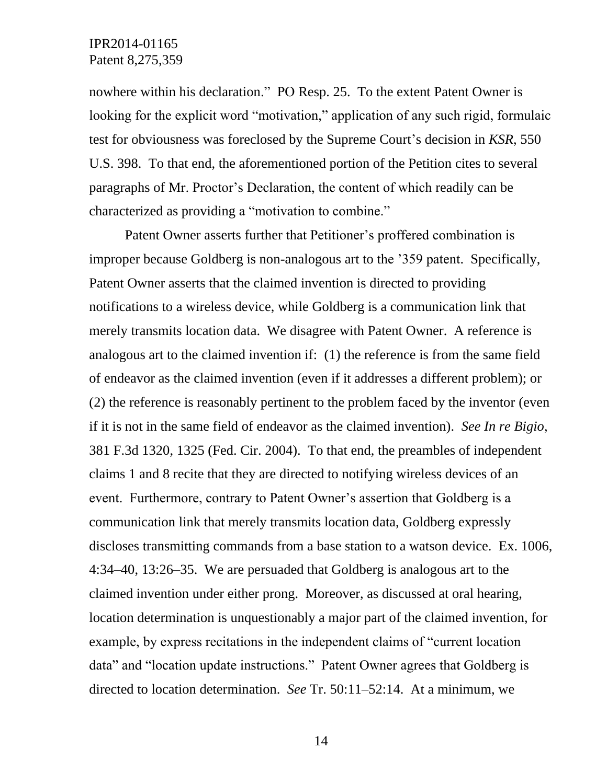nowhere within his declaration." PO Resp. 25. To the extent Patent Owner is looking for the explicit word "motivation," application of any such rigid, formulaic test for obviousness was foreclosed by the Supreme Court's decision in *KSR*, 550 U.S. 398. To that end, the aforementioned portion of the Petition cites to several paragraphs of Mr. Proctor's Declaration, the content of which readily can be characterized as providing a "motivation to combine."

Patent Owner asserts further that Petitioner's proffered combination is improper because Goldberg is non-analogous art to the '359 patent. Specifically, Patent Owner asserts that the claimed invention is directed to providing notifications to a wireless device, while Goldberg is a communication link that merely transmits location data. We disagree with Patent Owner. A reference is analogous art to the claimed invention if: (1) the reference is from the same field of endeavor as the claimed invention (even if it addresses a different problem); or (2) the reference is reasonably pertinent to the problem faced by the inventor (even if it is not in the same field of endeavor as the claimed invention). *See In re Bigio*, 381 F.3d 1320, 1325 (Fed. Cir. 2004). To that end, the preambles of independent claims 1 and 8 recite that they are directed to notifying wireless devices of an event. Furthermore, contrary to Patent Owner's assertion that Goldberg is a communication link that merely transmits location data, Goldberg expressly discloses transmitting commands from a base station to a watson device. Ex. 1006, 4:34–40, 13:26–35. We are persuaded that Goldberg is analogous art to the claimed invention under either prong. Moreover, as discussed at oral hearing, location determination is unquestionably a major part of the claimed invention, for example, by express recitations in the independent claims of "current location data" and "location update instructions." Patent Owner agrees that Goldberg is directed to location determination. *See* Tr. 50:11–52:14. At a minimum, we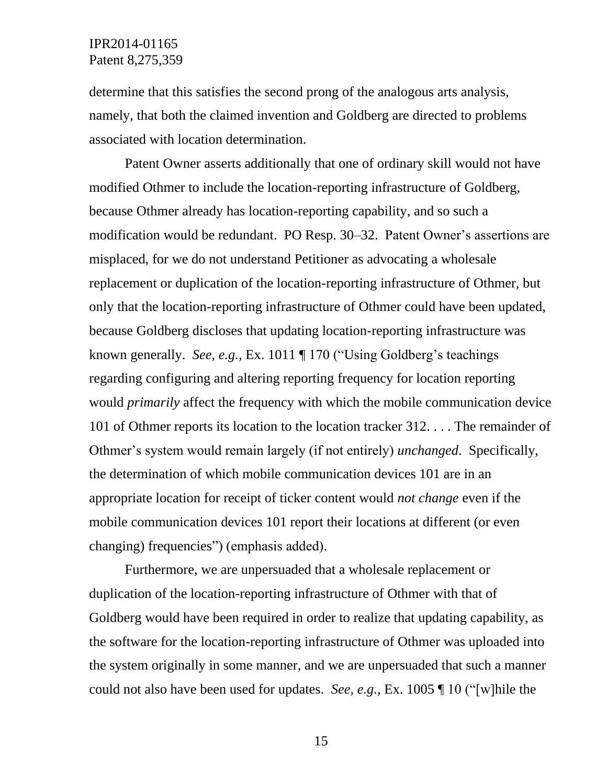determine that this satisfies the second prong of the analogous arts analysis, namely, that both the claimed invention and Goldberg are directed to problems associated with location determination.

Patent Owner asserts additionally that one of ordinary skill would not have modified Othmer to include the location-reporting infrastructure of Goldberg, because Othmer already has location-reporting capability, and so such a modification would be redundant. PO Resp. 30–32. Patent Owner's assertions are misplaced, for we do not understand Petitioner as advocating a wholesale replacement or duplication of the location-reporting infrastructure of Othmer, but only that the location-reporting infrastructure of Othmer could have been updated, because Goldberg discloses that updating location-reporting infrastructure was known generally. *See, e.g.*, Ex. 1011 ¶ 170 ("Using Goldberg's teachings regarding configuring and altering reporting frequency for location reporting would *primarily* affect the frequency with which the mobile communication device 101 of Othmer reports its location to the location tracker 312. . . . The remainder of Othmer's system would remain largely (if not entirely) *unchanged*. Specifically, the determination of which mobile communication devices 101 are in an appropriate location for receipt of ticker content would *not change* even if the mobile communication devices 101 report their locations at different (or even changing) frequencies") (emphasis added).

Furthermore, we are unpersuaded that a wholesale replacement or duplication of the location-reporting infrastructure of Othmer with that of Goldberg would have been required in order to realize that updating capability, as the software for the location-reporting infrastructure of Othmer was uploaded into the system originally in some manner, and we are unpersuaded that such a manner could not also have been used for updates. *See, e.g.*, Ex. 1005 ¶ 10 ("[w]hile the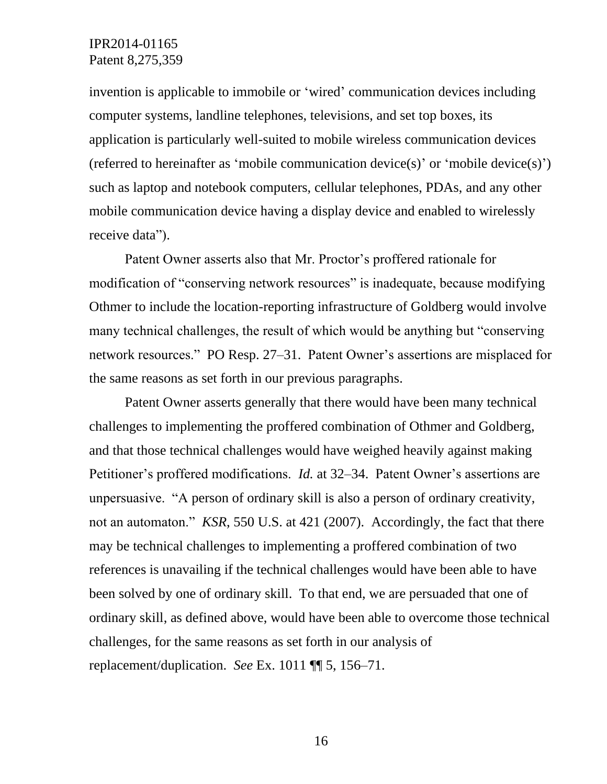invention is applicable to immobile or 'wired' communication devices including computer systems, landline telephones, televisions, and set top boxes, its application is particularly well-suited to mobile wireless communication devices (referred to hereinafter as 'mobile communication device(s)' or 'mobile device(s)') such as laptop and notebook computers, cellular telephones, PDAs, and any other mobile communication device having a display device and enabled to wirelessly receive data").

Patent Owner asserts also that Mr. Proctor's proffered rationale for modification of "conserving network resources" is inadequate, because modifying Othmer to include the location-reporting infrastructure of Goldberg would involve many technical challenges, the result of which would be anything but "conserving network resources." PO Resp. 27–31. Patent Owner's assertions are misplaced for the same reasons as set forth in our previous paragraphs.

Patent Owner asserts generally that there would have been many technical challenges to implementing the proffered combination of Othmer and Goldberg, and that those technical challenges would have weighed heavily against making Petitioner's proffered modifications. *Id.* at 32–34. Patent Owner's assertions are unpersuasive. "A person of ordinary skill is also a person of ordinary creativity, not an automaton." *KSR*, 550 U.S. at 421 (2007). Accordingly, the fact that there may be technical challenges to implementing a proffered combination of two references is unavailing if the technical challenges would have been able to have been solved by one of ordinary skill. To that end, we are persuaded that one of ordinary skill, as defined above, would have been able to overcome those technical challenges, for the same reasons as set forth in our analysis of replacement/duplication. *See* Ex. 1011 ¶¶ 5, 156–71.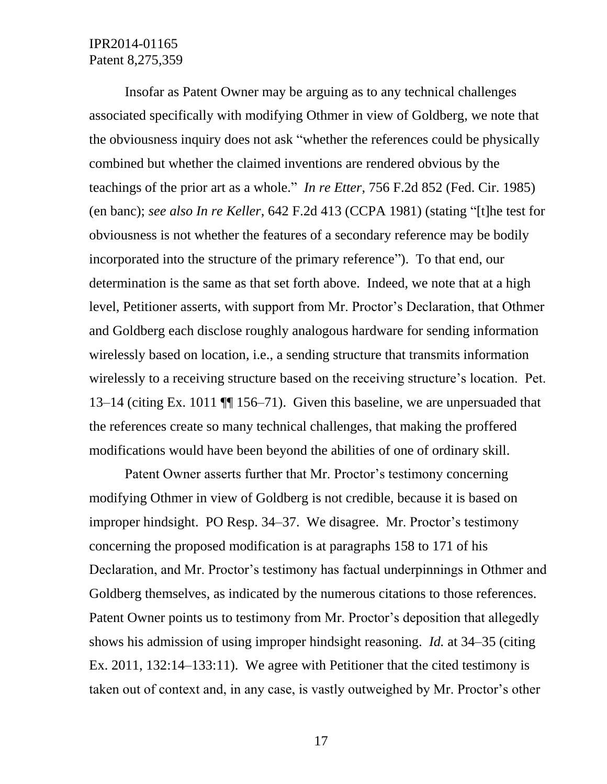Insofar as Patent Owner may be arguing as to any technical challenges associated specifically with modifying Othmer in view of Goldberg, we note that the obviousness inquiry does not ask "whether the references could be physically combined but whether the claimed inventions are rendered obvious by the teachings of the prior art as a whole." *In re Etter*, 756 F.2d 852 (Fed. Cir. 1985) (en banc); *see also In re Keller*, 642 F.2d 413 (CCPA 1981) (stating "[t]he test for obviousness is not whether the features of a secondary reference may be bodily incorporated into the structure of the primary reference"). To that end, our determination is the same as that set forth above. Indeed, we note that at a high level, Petitioner asserts, with support from Mr. Proctor's Declaration, that Othmer and Goldberg each disclose roughly analogous hardware for sending information wirelessly based on location, i.e., a sending structure that transmits information wirelessly to a receiving structure based on the receiving structure's location. Pet. 13–14 (citing Ex. 1011 ¶¶ 156–71). Given this baseline, we are unpersuaded that the references create so many technical challenges, that making the proffered modifications would have been beyond the abilities of one of ordinary skill.

Patent Owner asserts further that Mr. Proctor's testimony concerning modifying Othmer in view of Goldberg is not credible, because it is based on improper hindsight. PO Resp. 34–37. We disagree. Mr. Proctor's testimony concerning the proposed modification is at paragraphs 158 to 171 of his Declaration, and Mr. Proctor's testimony has factual underpinnings in Othmer and Goldberg themselves, as indicated by the numerous citations to those references. Patent Owner points us to testimony from Mr. Proctor's deposition that allegedly shows his admission of using improper hindsight reasoning. *Id.* at 34–35 (citing Ex. 2011, 132:14–133:11). We agree with Petitioner that the cited testimony is taken out of context and, in any case, is vastly outweighed by Mr. Proctor's other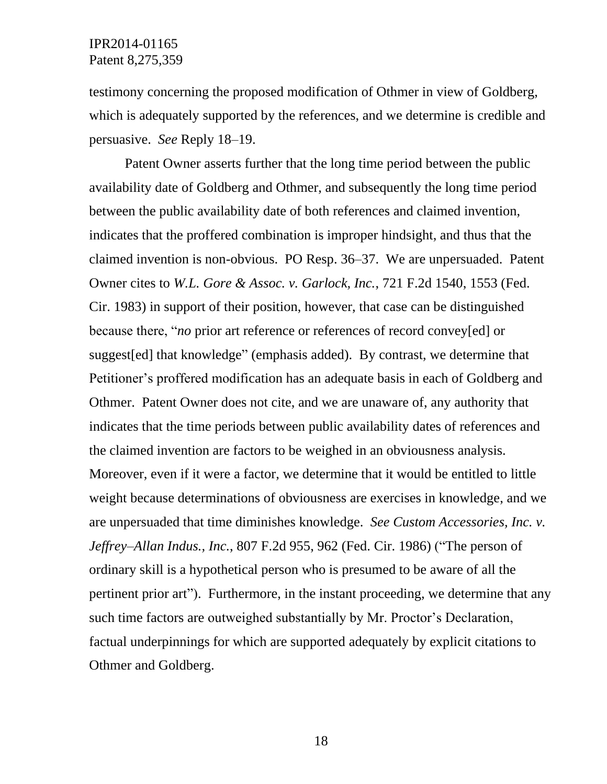testimony concerning the proposed modification of Othmer in view of Goldberg, which is adequately supported by the references, and we determine is credible and persuasive. *See* Reply 18–19.

Patent Owner asserts further that the long time period between the public availability date of Goldberg and Othmer, and subsequently the long time period between the public availability date of both references and claimed invention, indicates that the proffered combination is improper hindsight, and thus that the claimed invention is non-obvious. PO Resp. 36–37. We are unpersuaded. Patent Owner cites to *W.L. Gore & Assoc. v. Garlock, Inc.*, 721 F.2d 1540, 1553 (Fed. Cir. 1983) in support of their position, however, that case can be distinguished because there, "*no* prior art reference or references of record convey[ed] or suggest[ed] that knowledge" (emphasis added). By contrast, we determine that Petitioner's proffered modification has an adequate basis in each of Goldberg and Othmer. Patent Owner does not cite, and we are unaware of, any authority that indicates that the time periods between public availability dates of references and the claimed invention are factors to be weighed in an obviousness analysis. Moreover, even if it were a factor, we determine that it would be entitled to little weight because determinations of obviousness are exercises in knowledge, and we are unpersuaded that time diminishes knowledge. *See Custom Accessories, Inc. v. Jeffrey–Allan Indus., Inc.*, 807 F.2d 955, 962 (Fed. Cir. 1986) ("The person of ordinary skill is a hypothetical person who is presumed to be aware of all the pertinent prior art"). Furthermore, in the instant proceeding, we determine that any such time factors are outweighed substantially by Mr. Proctor's Declaration, factual underpinnings for which are supported adequately by explicit citations to Othmer and Goldberg.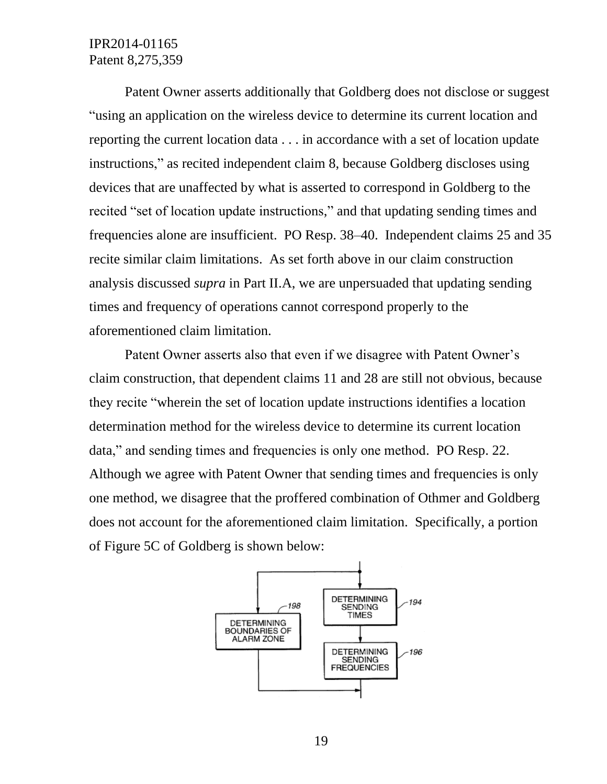Patent Owner asserts additionally that Goldberg does not disclose or suggest "using an application on the wireless device to determine its current location and reporting the current location data . . . in accordance with a set of location update instructions," as recited independent claim 8, because Goldberg discloses using devices that are unaffected by what is asserted to correspond in Goldberg to the recited "set of location update instructions," and that updating sending times and frequencies alone are insufficient. PO Resp. 38–40. Independent claims 25 and 35 recite similar claim limitations. As set forth above in our claim construction analysis discussed *supra* in Part II.A, we are unpersuaded that updating sending times and frequency of operations cannot correspond properly to the aforementioned claim limitation.

Patent Owner asserts also that even if we disagree with Patent Owner's claim construction, that dependent claims 11 and 28 are still not obvious, because they recite "wherein the set of location update instructions identifies a location determination method for the wireless device to determine its current location data," and sending times and frequencies is only one method. PO Resp. 22. Although we agree with Patent Owner that sending times and frequencies is only one method, we disagree that the proffered combination of Othmer and Goldberg does not account for the aforementioned claim limitation. Specifically, a portion of Figure 5C of Goldberg is shown below:

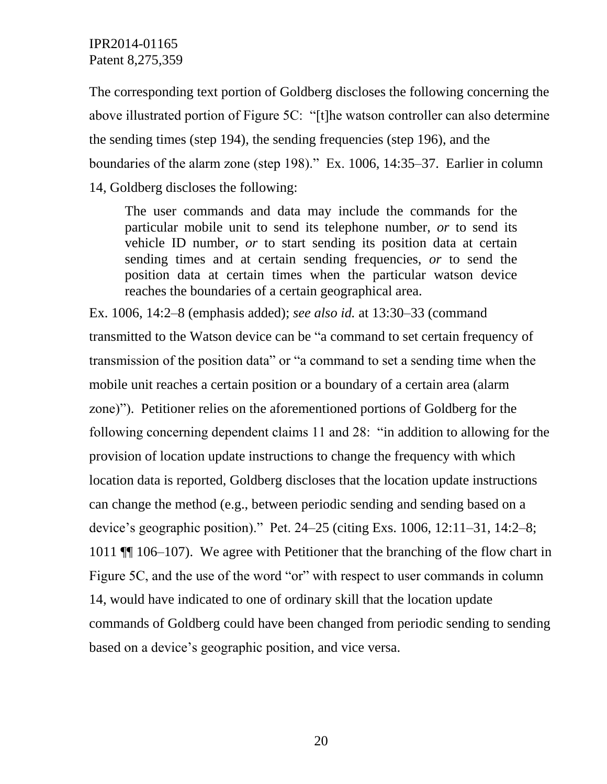The corresponding text portion of Goldberg discloses the following concerning the above illustrated portion of Figure 5C: "[t]he watson controller can also determine the sending times (step 194), the sending frequencies (step 196), and the boundaries of the alarm zone (step 198)." Ex. 1006, 14:35–37. Earlier in column 14, Goldberg discloses the following:

The user commands and data may include the commands for the particular mobile unit to send its telephone number, *or* to send its vehicle ID number, *or* to start sending its position data at certain sending times and at certain sending frequencies, *or* to send the position data at certain times when the particular watson device reaches the boundaries of a certain geographical area.

Ex. 1006, 14:2–8 (emphasis added); *see also id.* at 13:30–33 (command transmitted to the Watson device can be "a command to set certain frequency of transmission of the position data" or "a command to set a sending time when the mobile unit reaches a certain position or a boundary of a certain area (alarm zone)"). Petitioner relies on the aforementioned portions of Goldberg for the following concerning dependent claims 11 and 28: "in addition to allowing for the provision of location update instructions to change the frequency with which location data is reported, Goldberg discloses that the location update instructions can change the method (e.g., between periodic sending and sending based on a device's geographic position)." Pet. 24–25 (citing Exs. 1006, 12:11–31, 14:2–8; 1011 ¶¶ 106–107). We agree with Petitioner that the branching of the flow chart in Figure 5C, and the use of the word "or" with respect to user commands in column 14, would have indicated to one of ordinary skill that the location update commands of Goldberg could have been changed from periodic sending to sending based on a device's geographic position, and vice versa.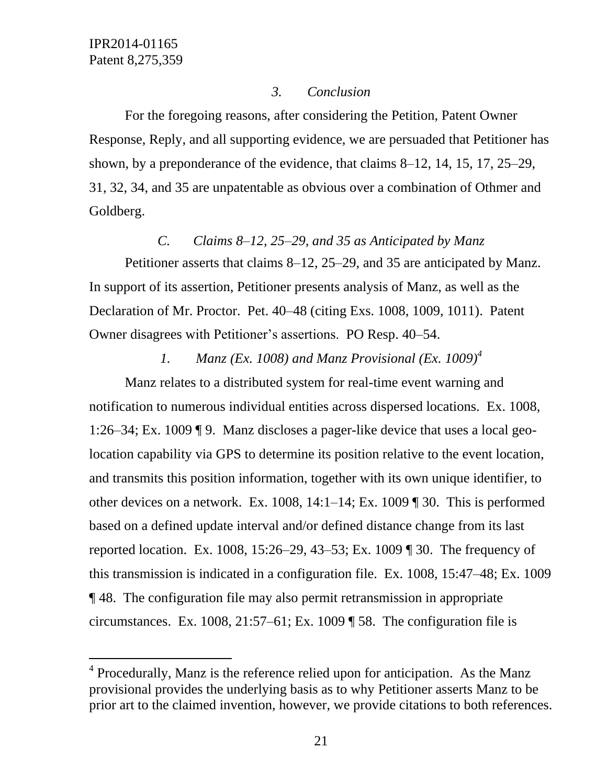l

### *3. Conclusion*

For the foregoing reasons, after considering the Petition, Patent Owner Response, Reply, and all supporting evidence, we are persuaded that Petitioner has shown, by a preponderance of the evidence, that claims 8–12, 14, 15, 17, 25–29, 31, 32, 34, and 35 are unpatentable as obvious over a combination of Othmer and Goldberg.

# *C. Claims 8*–*12, 25*–*29, and 35 as Anticipated by Manz*

Petitioner asserts that claims 8–12, 25–29, and 35 are anticipated by Manz. In support of its assertion, Petitioner presents analysis of Manz, as well as the Declaration of Mr. Proctor. Pet. 40–48 (citing Exs. 1008, 1009, 1011). Patent Owner disagrees with Petitioner's assertions. PO Resp. 40–54.

# *1. Manz (Ex. 1008) and Manz Provisional (Ex. 1009)<sup>4</sup>*

Manz relates to a distributed system for real-time event warning and notification to numerous individual entities across dispersed locations. Ex. 1008, 1:26–34; Ex. 1009 ¶ 9. Manz discloses a pager-like device that uses a local geolocation capability via GPS to determine its position relative to the event location, and transmits this position information, together with its own unique identifier, to other devices on a network. Ex. 1008, 14:1–14; Ex. 1009 ¶ 30. This is performed based on a defined update interval and/or defined distance change from its last reported location. Ex. 1008, 15:26–29, 43–53; Ex. 1009 ¶ 30. The frequency of this transmission is indicated in a configuration file. Ex. 1008, 15:47–48; Ex. 1009 ¶ 48. The configuration file may also permit retransmission in appropriate circumstances. Ex. 1008,  $21:57-61$ ; Ex. 1009 ¶ 58. The configuration file is

 $4$  Procedurally, Manz is the reference relied upon for anticipation. As the Manz provisional provides the underlying basis as to why Petitioner asserts Manz to be prior art to the claimed invention, however, we provide citations to both references.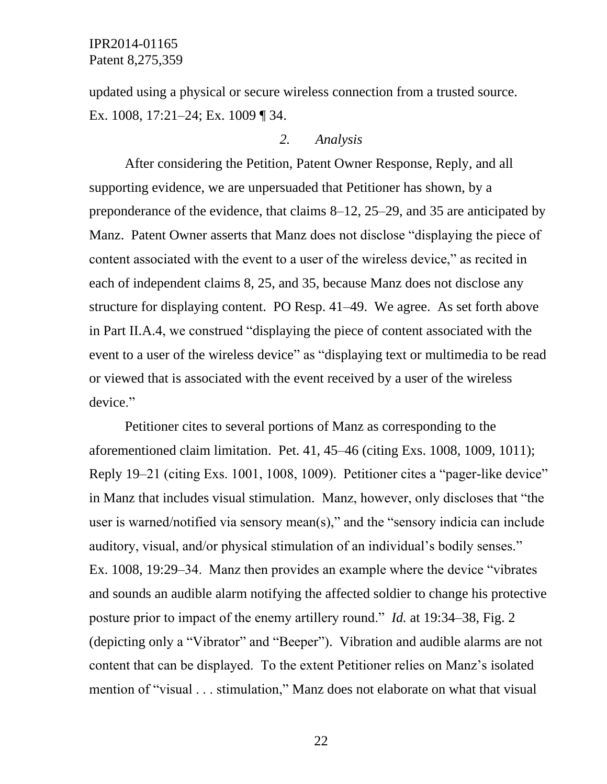updated using a physical or secure wireless connection from a trusted source. Ex. 1008, 17:21–24; Ex. 1009 ¶ 34.

#### *2. Analysis*

After considering the Petition, Patent Owner Response, Reply, and all supporting evidence, we are unpersuaded that Petitioner has shown, by a preponderance of the evidence, that claims 8–12, 25–29, and 35 are anticipated by Manz. Patent Owner asserts that Manz does not disclose "displaying the piece of content associated with the event to a user of the wireless device," as recited in each of independent claims 8, 25, and 35, because Manz does not disclose any structure for displaying content. PO Resp. 41–49. We agree. As set forth above in Part II.A.4, we construed "displaying the piece of content associated with the event to a user of the wireless device" as "displaying text or multimedia to be read or viewed that is associated with the event received by a user of the wireless device."

Petitioner cites to several portions of Manz as corresponding to the aforementioned claim limitation. Pet. 41, 45–46 (citing Exs. 1008, 1009, 1011); Reply 19–21 (citing Exs. 1001, 1008, 1009). Petitioner cites a "pager-like device" in Manz that includes visual stimulation. Manz, however, only discloses that "the user is warned/notified via sensory mean(s)," and the "sensory indicia can include auditory, visual, and/or physical stimulation of an individual's bodily senses." Ex. 1008, 19:29–34. Manz then provides an example where the device "vibrates and sounds an audible alarm notifying the affected soldier to change his protective posture prior to impact of the enemy artillery round." *Id.* at 19:34–38, Fig. 2 (depicting only a "Vibrator" and "Beeper"). Vibration and audible alarms are not content that can be displayed. To the extent Petitioner relies on Manz's isolated mention of "visual . . . stimulation," Manz does not elaborate on what that visual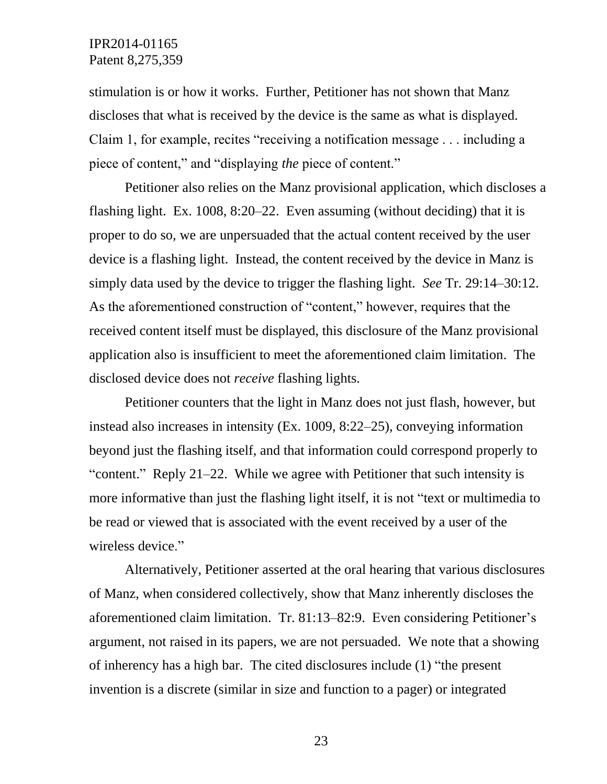stimulation is or how it works. Further, Petitioner has not shown that Manz discloses that what is received by the device is the same as what is displayed. Claim 1, for example, recites "receiving a notification message . . . including a piece of content," and "displaying *the* piece of content."

Petitioner also relies on the Manz provisional application, which discloses a flashing light. Ex. 1008, 8:20–22. Even assuming (without deciding) that it is proper to do so, we are unpersuaded that the actual content received by the user device is a flashing light. Instead, the content received by the device in Manz is simply data used by the device to trigger the flashing light. *See* Tr. 29:14–30:12. As the aforementioned construction of "content," however, requires that the received content itself must be displayed, this disclosure of the Manz provisional application also is insufficient to meet the aforementioned claim limitation. The disclosed device does not *receive* flashing lights.

Petitioner counters that the light in Manz does not just flash, however, but instead also increases in intensity (Ex. 1009, 8:22–25), conveying information beyond just the flashing itself, and that information could correspond properly to "content." Reply 21–22. While we agree with Petitioner that such intensity is more informative than just the flashing light itself, it is not "text or multimedia to be read or viewed that is associated with the event received by a user of the wireless device."

Alternatively, Petitioner asserted at the oral hearing that various disclosures of Manz, when considered collectively, show that Manz inherently discloses the aforementioned claim limitation. Tr. 81:13–82:9. Even considering Petitioner's argument, not raised in its papers, we are not persuaded. We note that a showing of inherency has a high bar. The cited disclosures include (1) "the present invention is a discrete (similar in size and function to a pager) or integrated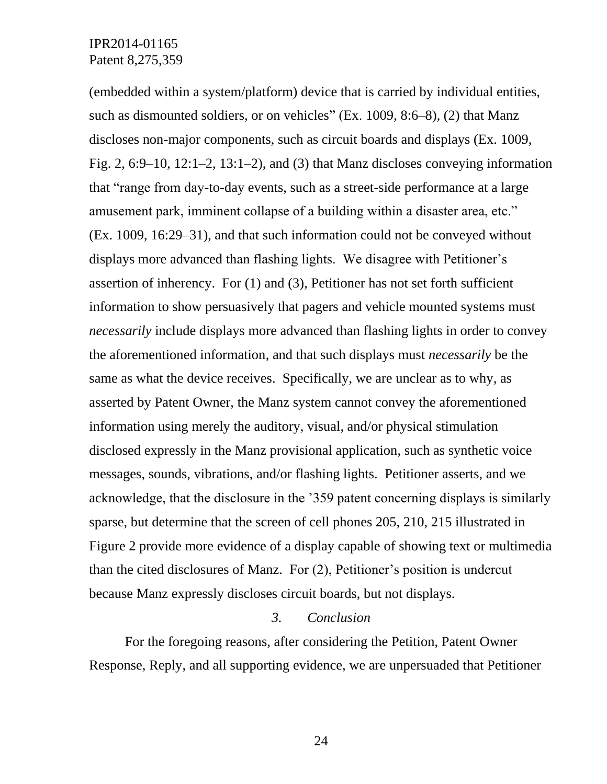(embedded within a system/platform) device that is carried by individual entities, such as dismounted soldiers, or on vehicles" (Ex. 1009, 8:6–8), (2) that Manz discloses non-major components, such as circuit boards and displays (Ex. 1009, Fig. 2, 6:9–10, 12:1–2, 13:1–2), and (3) that Manz discloses conveying information that "range from day-to-day events, such as a street-side performance at a large amusement park, imminent collapse of a building within a disaster area, etc." (Ex. 1009, 16:29–31), and that such information could not be conveyed without displays more advanced than flashing lights. We disagree with Petitioner's assertion of inherency. For (1) and (3), Petitioner has not set forth sufficient information to show persuasively that pagers and vehicle mounted systems must *necessarily* include displays more advanced than flashing lights in order to convey the aforementioned information, and that such displays must *necessarily* be the same as what the device receives. Specifically, we are unclear as to why, as asserted by Patent Owner, the Manz system cannot convey the aforementioned information using merely the auditory, visual, and/or physical stimulation disclosed expressly in the Manz provisional application, such as synthetic voice messages, sounds, vibrations, and/or flashing lights. Petitioner asserts, and we acknowledge, that the disclosure in the '359 patent concerning displays is similarly sparse, but determine that the screen of cell phones 205, 210, 215 illustrated in Figure 2 provide more evidence of a display capable of showing text or multimedia than the cited disclosures of Manz. For (2), Petitioner's position is undercut because Manz expressly discloses circuit boards, but not displays.

### *3. Conclusion*

For the foregoing reasons, after considering the Petition, Patent Owner Response, Reply, and all supporting evidence, we are unpersuaded that Petitioner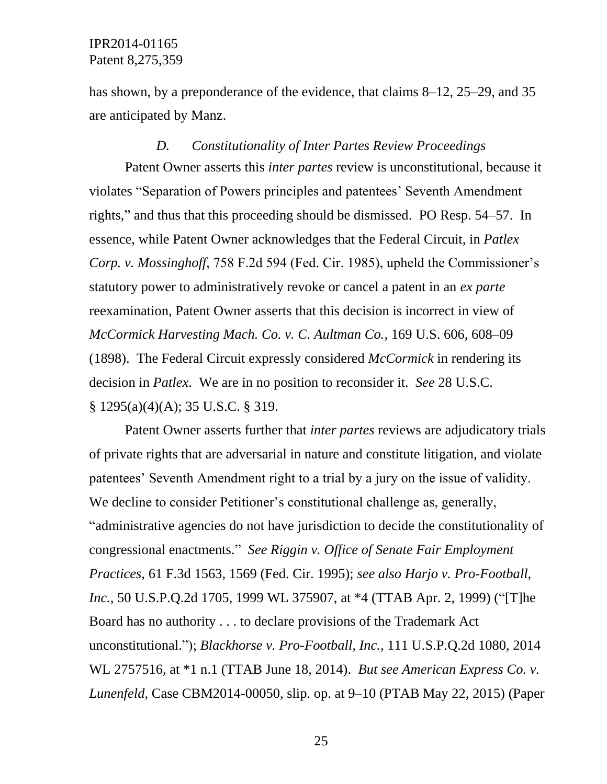has shown, by a preponderance of the evidence, that claims 8–12, 25–29, and 35 are anticipated by Manz.

#### *D. Constitutionality of Inter Partes Review Proceedings*

Patent Owner asserts this *inter partes* review is unconstitutional, because it violates "Separation of Powers principles and patentees' Seventh Amendment rights," and thus that this proceeding should be dismissed. PO Resp. 54–57. In essence, while Patent Owner acknowledges that the Federal Circuit, in *Patlex Corp. v. Mossinghoff*, 758 F.2d 594 (Fed. Cir. 1985), upheld the Commissioner's statutory power to administratively revoke or cancel a patent in an *ex parte* reexamination, Patent Owner asserts that this decision is incorrect in view of *McCormick Harvesting Mach. Co. v. C. Aultman Co.*, 169 U.S. 606, 608–09 (1898). The Federal Circuit expressly considered *McCormick* in rendering its decision in *Patlex*. We are in no position to reconsider it. *See* 28 U.S.C. § 1295(a)(4)(A); 35 U.S.C. § 319.

Patent Owner asserts further that *inter partes* reviews are adjudicatory trials of private rights that are adversarial in nature and constitute litigation, and violate patentees' Seventh Amendment right to a trial by a jury on the issue of validity. We decline to consider Petitioner's constitutional challenge as, generally, "administrative agencies do not have jurisdiction to decide the constitutionality of congressional enactments." *See Riggin v. Office of Senate Fair Employment Practices*, 61 F.3d 1563, 1569 (Fed. Cir. 1995); *see also Harjo v. Pro-Football, Inc.*, 50 U.S.P.Q.2d 1705, 1999 WL 375907, at \*4 (TTAB Apr. 2, 1999) ("[T]he Board has no authority . . . to declare provisions of the Trademark Act unconstitutional."); *Blackhorse v. Pro-Football, Inc.*, 111 U.S.P.Q.2d 1080, 2014 WL 2757516, at \*1 n.1 (TTAB June 18, 2014). *But see American Express Co. v. Lunenfeld*, Case CBM2014-00050, slip. op. at 9–10 (PTAB May 22, 2015) (Paper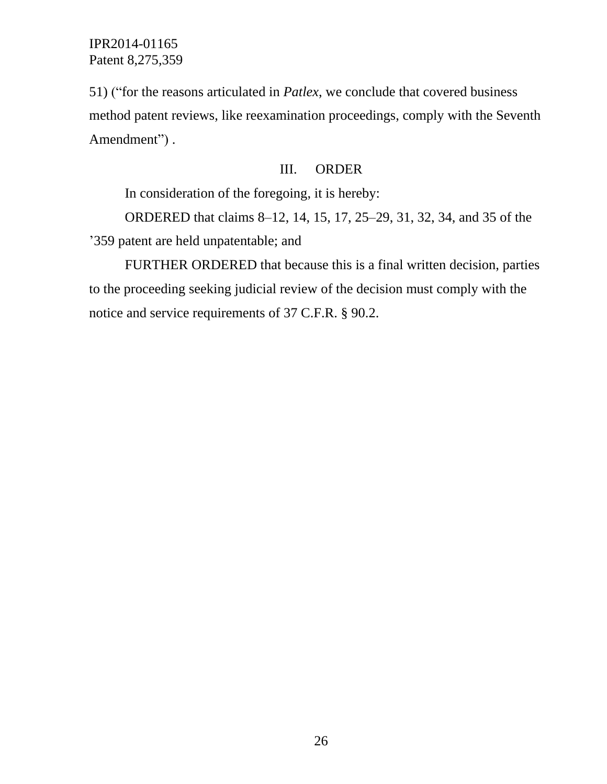51) ("for the reasons articulated in *Patlex*, we conclude that covered business method patent reviews, like reexamination proceedings, comply with the Seventh Amendment").

### III. ORDER

In consideration of the foregoing, it is hereby:

ORDERED that claims 8–12, 14, 15, 17, 25–29, 31, 32, 34, and 35 of the '359 patent are held unpatentable; and

FURTHER ORDERED that because this is a final written decision, parties to the proceeding seeking judicial review of the decision must comply with the notice and service requirements of 37 C.F.R. § 90.2.